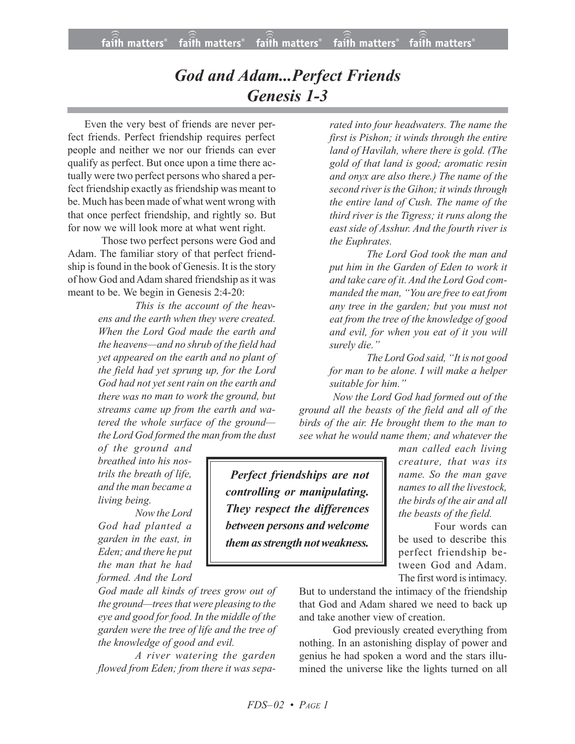## *God and Adam...Perfect Friends Genesis 1-3*

Even the very best of friends are never perfect friends. Perfect friendship requires perfect people and neither we nor our friends can ever qualify as perfect. But once upon a time there actually were two perfect persons who shared a perfect friendship exactly as friendship was meant to be. Much has been made of what went wrong with that once perfect friendship, and rightly so. But for now we will look more at what went right.

Those two perfect persons were God and Adam. The familiar story of that perfect friendship is found in the book of Genesis. It is the story of how God and Adam shared friendship as it was meant to be. We begin in Genesis 2:4-20:

> *This is the account of the heavens and the earth when they were created. When the Lord God made the earth and the heavens—and no shrub of the field had yet appeared on the earth and no plant of the field had yet sprung up, for the Lord God had not yet sent rain on the earth and there was no man to work the ground, but streams came up from the earth and watered the whole surface of the ground the Lord God formed the man from the dust*

*of the ground and breathed into his nostrils the breath of life, and the man became a living being.*

*Now the Lord God had planted a garden in the east, in Eden; and there he put the man that he had formed. And the Lord*

*God made all kinds of trees grow out of the ground—trees that were pleasing to the eye and good for food. In the middle of the garden were the tree of life and the tree of the knowledge of good and evil.*

*A river watering the garden flowed from Eden; from there it was sepa-*

*rated into four headwaters. The name the first is Pishon; it winds through the entire land of Havilah, where there is gold. (The gold of that land is good; aromatic resin and onyx are also there.) The name of the second riveristhe Gihon; it windsthrough the entire land of Cush. The name of the third river is the Tigress; it runs along the east side of Asshur. And the fourth river is the Euphrates.*

*The Lord God took the man and put him in the Garden of Eden to work it and take care of it. And the Lord God commanded the man, "You are free to eat from any tree in the garden; but you must not eat from the tree of the knowledge of good and evil, for when you eat of it you will surely die."*

*The Lord God said, "It is not good for man to be alone. I will make a helper suitable for him."*

*Now the Lord God had formed out of the ground all the beasts of the field and all of the birds of the air. He brought them to the man to see what he would name them; and whatever the*

> *man called each living creature, that was its name. So the man gave names to all the livestock, the birds of the air and all the beasts of the field.*

Four words can be used to describe this perfect friendship between God and Adam. The first word is intimacy.

But to understand the intimacy of the friendship that God and Adam shared we need to back up and take another view of creation.

God previously created everything from nothing. In an astonishing display of power and genius he had spoken a word and the stars illumined the universe like the lights turned on all

 *Perfect friendships are not controlling or manipulating. They respect the differences between persons and welcome them as strength not weakness.*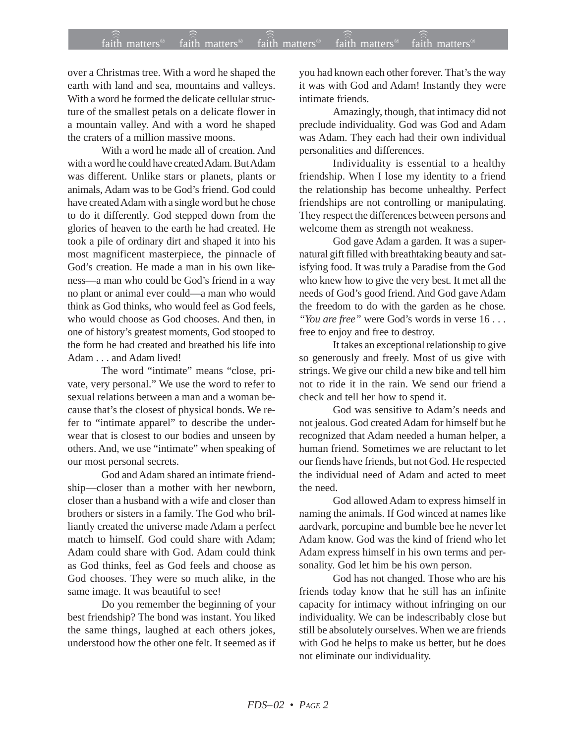## $f$ aith matters® staith matters® staith matters® staith matters® staith matters® faith matters<sup>®</sup> ))) )))

over a Christmas tree. With a word he shaped the earth with land and sea, mountains and valleys. With a word he formed the delicate cellular structure of the smallest petals on a delicate flower in a mountain valley. And with a word he shaped the craters of a million massive moons.

With a word he made all of creation. And with a word he could have created Adam. But Adam was different. Unlike stars or planets, plants or animals, Adam was to be God's friend. God could have created Adam with a single word but he chose to do it differently. God stepped down from the glories of heaven to the earth he had created. He took a pile of ordinary dirt and shaped it into his most magnificent masterpiece, the pinnacle of God's creation. He made a man in his own likeness—a man who could be God's friend in a way no plant or animal ever could—a man who would think as God thinks, who would feel as God feels, who would choose as God chooses. And then, in one of history's greatest moments, God stooped to the form he had created and breathed his life into Adam . . . and Adam lived!

The word "intimate" means "close, private, very personal." We use the word to refer to sexual relations between a man and a woman because that's the closest of physical bonds. We refer to "intimate apparel" to describe the underwear that is closest to our bodies and unseen by others. And, we use "intimate" when speaking of our most personal secrets.

God and Adam shared an intimate friendship—closer than a mother with her newborn, closer than a husband with a wife and closer than brothers or sisters in a family. The God who brilliantly created the universe made Adam a perfect match to himself. God could share with Adam; Adam could share with God. Adam could think as God thinks, feel as God feels and choose as God chooses. They were so much alike, in the same image. It was beautiful to see!

Do you remember the beginning of your best friendship? The bond was instant. You liked the same things, laughed at each others jokes, understood how the other one felt. It seemed as if you had known each other forever. That's the way it was with God and Adam! Instantly they were intimate friends.

Amazingly, though, that intimacy did not preclude individuality. God was God and Adam was Adam. They each had their own individual personalities and differences.

Individuality is essential to a healthy friendship. When I lose my identity to a friend the relationship has become unhealthy. Perfect friendships are not controlling or manipulating. They respect the differences between persons and welcome them as strength not weakness.

God gave Adam a garden. It was a supernatural gift filled with breathtaking beauty and satisfying food. It was truly a Paradise from the God who knew how to give the very best. It met all the needs of God's good friend. And God gave Adam the freedom to do with the garden as he chose*. "You are free"* were God's words in verse 16 . . . free to enjoy and free to destroy.

It takes an exceptional relationship to give so generously and freely. Most of us give with strings. We give our child a new bike and tell him not to ride it in the rain. We send our friend a check and tell her how to spend it.

God was sensitive to Adam's needs and not jealous. God created Adam for himself but he recognized that Adam needed a human helper, a human friend. Sometimes we are reluctant to let our fiends have friends, but not God. He respected the individual need of Adam and acted to meet the need.

God allowed Adam to express himself in naming the animals. If God winced at names like aardvark, porcupine and bumble bee he never let Adam know. God was the kind of friend who let Adam express himself in his own terms and personality. God let him be his own person.

God has not changed. Those who are his friends today know that he still has an infinite capacity for intimacy without infringing on our individuality. We can be indescribably close but still be absolutely ourselves. When we are friends with God he helps to make us better, but he does not eliminate our individuality.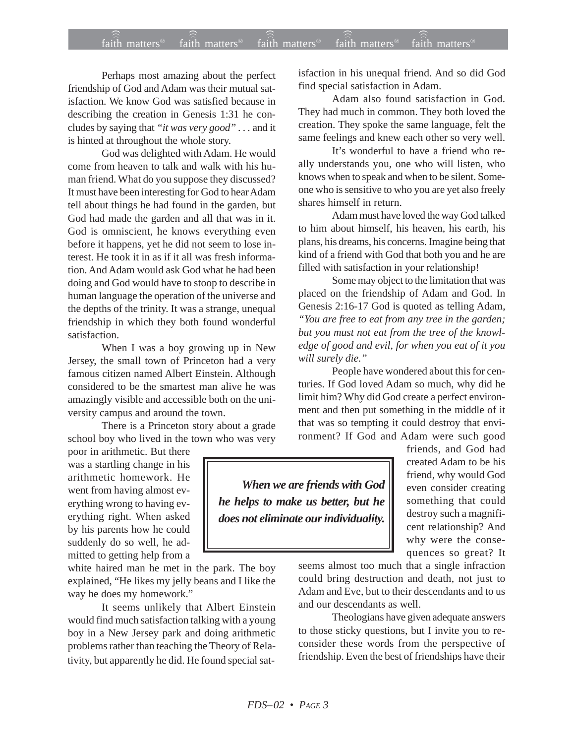Perhaps most amazing about the perfect friendship of God and Adam was their mutual satisfaction. We know God was satisfied because in describing the creation in Genesis 1:31 he concludes by saying that *"it was very good" . . .* and it is hinted at throughout the whole story.

God was delighted with Adam. He would come from heaven to talk and walk with his human friend. What do you suppose they discussed? It must have been interesting for God to hear Adam tell about things he had found in the garden, but God had made the garden and all that was in it. God is omniscient, he knows everything even before it happens, yet he did not seem to lose interest. He took it in as if it all was fresh information. And Adam would ask God what he had been doing and God would have to stoop to describe in human language the operation of the universe and the depths of the trinity. It was a strange, unequal friendship in which they both found wonderful satisfaction.

When I was a boy growing up in New Jersey, the small town of Princeton had a very famous citizen named Albert Einstein. Although considered to be the smartest man alive he was amazingly visible and accessible both on the university campus and around the town.

There is a Princeton story about a grade school boy who lived in the town who was very

poor in arithmetic. But there was a startling change in his arithmetic homework. He went from having almost everything wrong to having everything right. When asked by his parents how he could suddenly do so well, he admitted to getting help from a

white haired man he met in the park. The boy explained, "He likes my jelly beans and I like the way he does my homework."

It seems unlikely that Albert Einstein would find much satisfaction talking with a young boy in a New Jersey park and doing arithmetic problems rather than teaching the Theory of Relativity, but apparently he did. He found special satisfaction in his unequal friend. And so did God find special satisfaction in Adam.

Adam also found satisfaction in God. They had much in common. They both loved the creation. They spoke the same language, felt the same feelings and knew each other so very well.

It's wonderful to have a friend who really understands you, one who will listen, who knows when to speak and when to be silent. Someone who is sensitive to who you are yet also freely shares himself in return.

Adam must have loved the way God talked to him about himself, his heaven, his earth, his plans, his dreams, his concerns. Imagine being that kind of a friend with God that both you and he are filled with satisfaction in your relationship!

Some may object to the limitation that was placed on the friendship of Adam and God. In Genesis 2:16-17 God is quoted as telling Adam, *"You are free to eat from any tree in the garden; but you must not eat from the tree of the knowledge of good and evil, for when you eat of it you will surely die."*

People have wondered about this for centuries. If God loved Adam so much, why did he limit him? Why did God create a perfect environment and then put something in the middle of it that was so tempting it could destroy that environment? If God and Adam were such good

*When we are friends with God he helps to make us better, but he does not eliminate our individuality.*

friends, and God had created Adam to be his friend, why would God even consider creating something that could destroy such a magnificent relationship? And why were the consequences so great? It

seems almost too much that a single infraction could bring destruction and death, not just to Adam and Eve, but to their descendants and to us and our descendants as well.

Theologians have given adequate answers to those sticky questions, but I invite you to reconsider these words from the perspective of friendship. Even the best of friendships have their